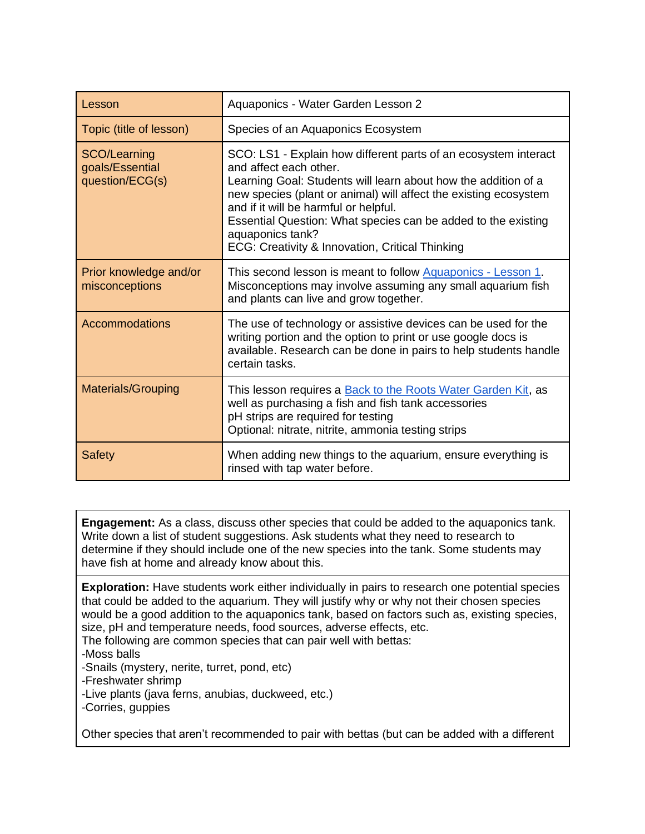| Lesson                                             | Aquaponics - Water Garden Lesson 2                                                                                                                                                                                                                                                                                                                                                                               |  |  |
|----------------------------------------------------|------------------------------------------------------------------------------------------------------------------------------------------------------------------------------------------------------------------------------------------------------------------------------------------------------------------------------------------------------------------------------------------------------------------|--|--|
| Topic (title of lesson)                            | Species of an Aquaponics Ecosystem                                                                                                                                                                                                                                                                                                                                                                               |  |  |
| SCO/Learning<br>goals/Essential<br>question/ECG(s) | SCO: LS1 - Explain how different parts of an ecosystem interact<br>and affect each other.<br>Learning Goal: Students will learn about how the addition of a<br>new species (plant or animal) will affect the existing ecosystem<br>and if it will be harmful or helpful.<br>Essential Question: What species can be added to the existing<br>aquaponics tank?<br>ECG: Creativity & Innovation, Critical Thinking |  |  |
| Prior knowledge and/or<br>misconceptions           | This second lesson is meant to follow Aquaponics - Lesson 1.<br>Misconceptions may involve assuming any small aquarium fish<br>and plants can live and grow together.                                                                                                                                                                                                                                            |  |  |
| <b>Accommodations</b>                              | The use of technology or assistive devices can be used for the<br>writing portion and the option to print or use google docs is<br>available. Research can be done in pairs to help students handle<br>certain tasks.                                                                                                                                                                                            |  |  |
| <b>Materials/Grouping</b>                          | This lesson requires a Back to the Roots Water Garden Kit, as<br>well as purchasing a fish and fish tank accessories<br>pH strips are required for testing<br>Optional: nitrate, nitrite, ammonia testing strips                                                                                                                                                                                                 |  |  |
| <b>Safety</b>                                      | When adding new things to the aquarium, ensure everything is<br>rinsed with tap water before.                                                                                                                                                                                                                                                                                                                    |  |  |

**Engagement:** As a class, discuss other species that could be added to the aquaponics tank. Write down a list of student suggestions. Ask students what they need to research to determine if they should include one of the new species into the tank. Some students may have fish at home and already know about this.

**Exploration:** Have students work either individually in pairs to research one potential species that could be added to the aquarium. They will justify why or why not their chosen species would be a good addition to the aquaponics tank, based on factors such as, existing species, size, pH and temperature needs, food sources, adverse effects, etc.

The following are common species that can pair well with bettas:

-Moss balls

-Snails (mystery, nerite, turret, pond, etc)

-Freshwater shrimp

-Live plants (java ferns, anubias, duckweed, etc.)

-Corries, guppies

Other species that aren't recommended to pair with bettas (but can be added with a different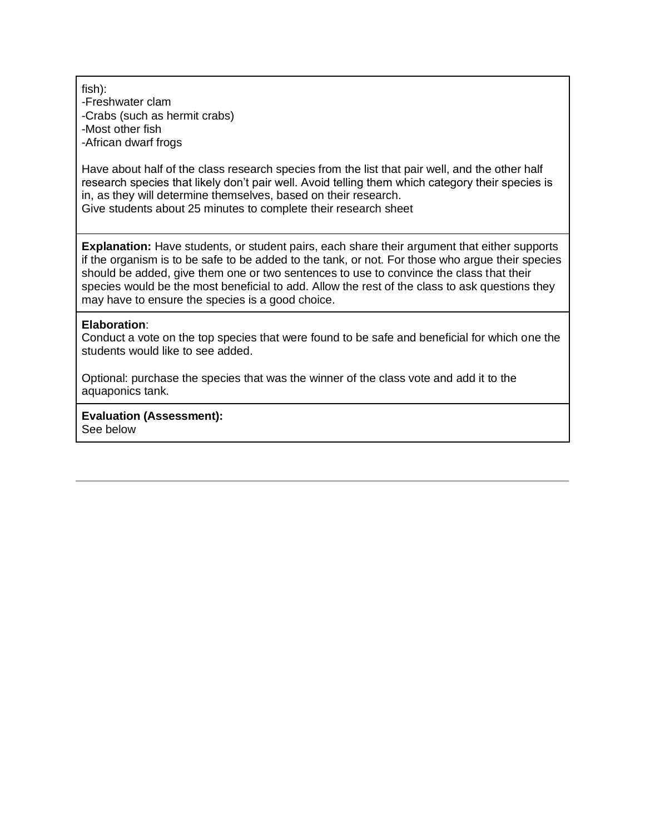fish):

-Freshwater clam -Crabs (such as hermit crabs) -Most other fish -African dwarf frogs

Have about half of the class research species from the list that pair well, and the other half research species that likely don't pair well. Avoid telling them which category their species is in, as they will determine themselves, based on their research. Give students about 25 minutes to complete their research sheet

**Explanation:** Have students, or student pairs, each share their argument that either supports if the organism is to be safe to be added to the tank, or not. For those who argue their species should be added, give them one or two sentences to use to convince the class that their species would be the most beneficial to add. Allow the rest of the class to ask questions they may have to ensure the species is a good choice.

## **Elaboration**:

Conduct a vote on the top species that were found to be safe and beneficial for which one the students would like to see added.

Optional: purchase the species that was the winner of the class vote and add it to the aquaponics tank.

**Evaluation (Assessment):**  See below